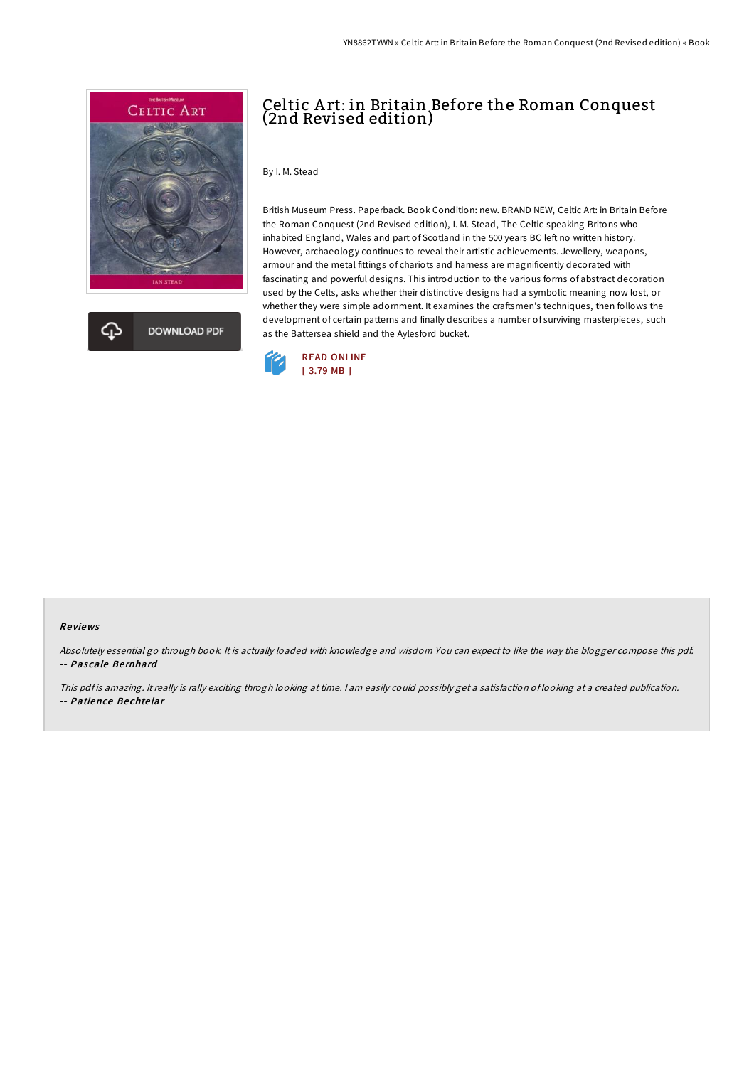

**DOWNLOAD PDF** 

# Celtic A rt: in Britain Before the Roman Conquest (2nd Revised edition)

By I. M. Stead

British Museum Press. Paperback. Book Condition: new. BRAND NEW, Celtic Art: in Britain Before the Roman Conquest (2nd Revised edition), I. M. Stead, The Celtic-speaking Britons who inhabited England, Wales and part of Scotland in the 500 years BC left no written history. However, archaeology continues to reveal their artistic achievements. Jewellery, weapons, armour and the metal fittings of chariots and harness are magnificently decorated with fascinating and powerful designs. This introduction to the various forms of abstract decoration used by the Celts, asks whether their distinctive designs had a symbolic meaning now lost, or whether they were simple adornment. It examines the craftsmen's techniques, then follows the development of certain patterns and finally describes a number of surviving masterpieces, such as the Battersea shield and the Aylesford bucket.



#### Re views

Absolutely essential go through book. It is actually loaded with knowledge and wisdom You can expect to like the way the blogger compose this pdf. -- Pascale Bernhard

This pdf is amazing. It really is rally exciting throgh looking at time. I am easily could possibly get a satisfaction of looking at a created publication. -- Patience Be chte lar